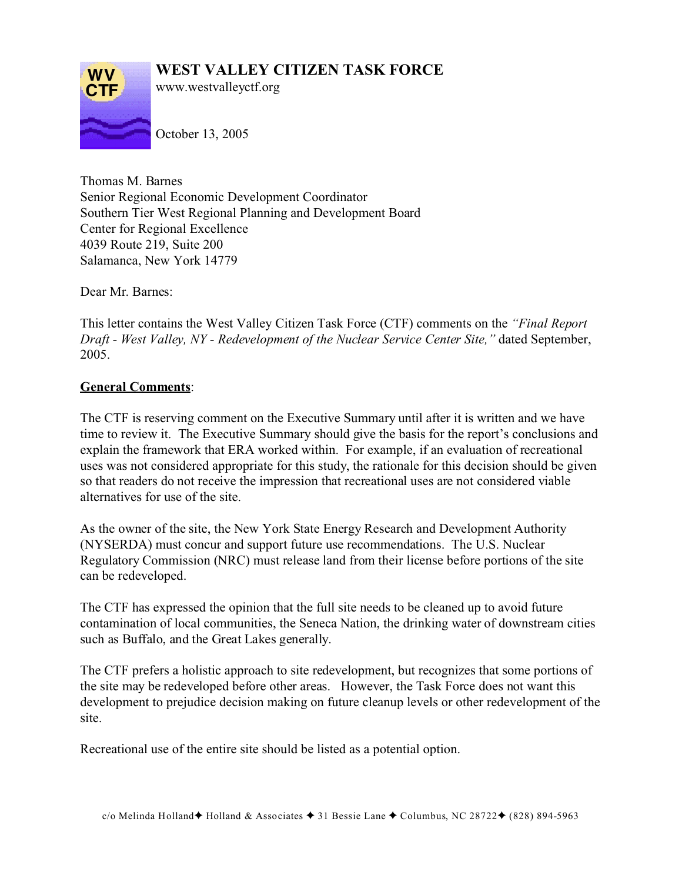## **WEST VALLEY CITIZEN TASK FORCE**



www.westvalleyctf.org

October 13, 2005

Thomas M. Barnes Senior Regional Economic Development Coordinator Southern Tier West Regional Planning and Development Board Center for Regional Excellence 4039 Route 219, Suite 200 Salamanca, New York 14779

Dear Mr. Barnes:

This letter contains the West Valley Citizen Task Force (CTF) comments on the *"Final Report Draft - West Valley, NY - Redevelopment of the Nuclear Service Center Site,"* dated September, 2005.

## **General Comments**:

The CTF is reserving comment on the Executive Summary until after it is written and we have time to review it. The Executive Summary should give the basis for the report's conclusions and explain the framework that ERA worked within. For example, if an evaluation of recreational uses was not considered appropriate for this study, the rationale for this decision should be given so that readers do not receive the impression that recreational uses are not considered viable alternatives for use of the site.

As the owner of the site, the New York State Energy Research and Development Authority (NYSERDA) must concur and support future use recommendations. The U.S. Nuclear Regulatory Commission (NRC) must release land from their license before portions of the site can be redeveloped.

The CTF has expressed the opinion that the full site needs to be cleaned up to avoid future contamination of local communities, the Seneca Nation, the drinking water of downstream cities such as Buffalo, and the Great Lakes generally.

The CTF prefers a holistic approach to site redevelopment, but recognizes that some portions of the site may be redeveloped before other areas. However, the Task Force does not want this development to prejudice decision making on future cleanup levels or other redevelopment of the site.

Recreational use of the entire site should be listed as a potential option.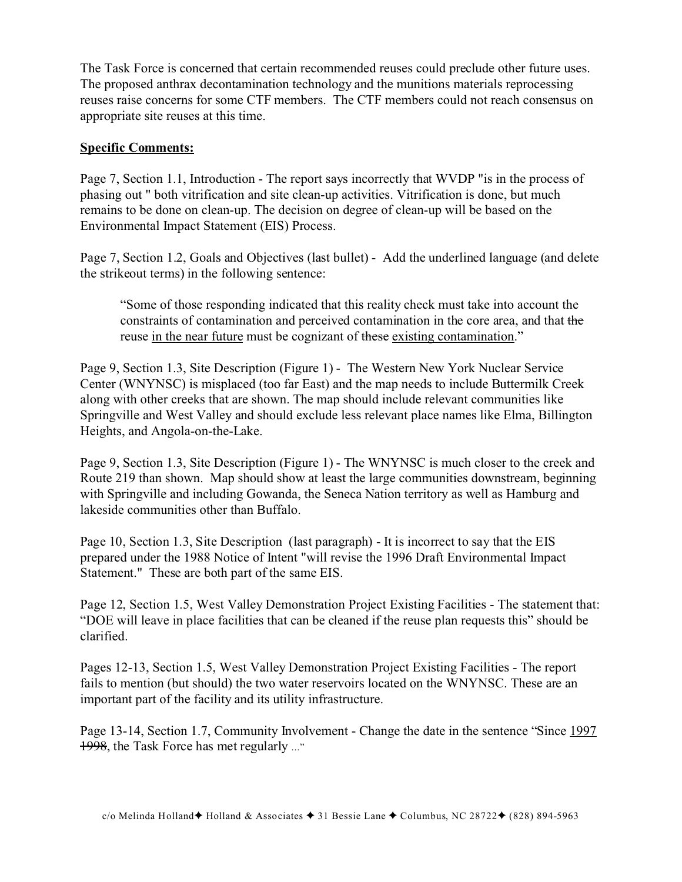The Task Force is concerned that certain recommended reuses could preclude other future uses. The proposed anthrax decontamination technology and the munitions materials reprocessing reuses raise concerns for some CTF members. The CTF members could not reach consensus on appropriate site reuses at this time.

## **Specific Comments:**

Page 7, Section 1.1, Introduction - The report says incorrectly that WVDP "is in the process of phasing out " both vitrification and site clean-up activities. Vitrification is done, but much remains to be done on clean-up. The decision on degree of clean-up will be based on the Environmental Impact Statement (EIS) Process.

Page 7, Section 1.2, Goals and Objectives (last bullet) - Add the underlined language (and delete the strikeout terms) in the following sentence:

"Some of those responding indicated that this reality check must take into account the constraints of contamination and perceived contamination in the core area, and that the reuse in the near future must be cognizant of these existing contamination."

Page 9, Section 1.3, Site Description (Figure 1) - The Western New York Nuclear Service Center (WNYNSC) is misplaced (too far East) and the map needs to include Buttermilk Creek along with other creeks that are shown. The map should include relevant communities like Springville and West Valley and should exclude less relevant place names like Elma, Billington Heights, and Angola-on-the-Lake.

Page 9, Section 1.3, Site Description (Figure 1) - The WNYNSC is much closer to the creek and Route 219 than shown. Map should show at least the large communities downstream, beginning with Springville and including Gowanda, the Seneca Nation territory as well as Hamburg and lakeside communities other than Buffalo.

Page 10, Section 1.3, Site Description (last paragraph) - It is incorrect to say that the EIS prepared under the 1988 Notice of Intent "will revise the 1996 Draft Environmental Impact Statement." These are both part of the same EIS.

Page 12, Section 1.5, West Valley Demonstration Project Existing Facilities - The statement that: "DOE will leave in place facilities that can be cleaned if the reuse plan requests this" should be clarified.

Pages 12-13, Section 1.5, West Valley Demonstration Project Existing Facilities - The report fails to mention (but should) the two water reservoirs located on the WNYNSC. These are an important part of the facility and its utility infrastructure.

Page 13-14, Section 1.7, Community Involvement - Change the date in the sentence "Since 1997 1998, the Task Force has met regularly ..."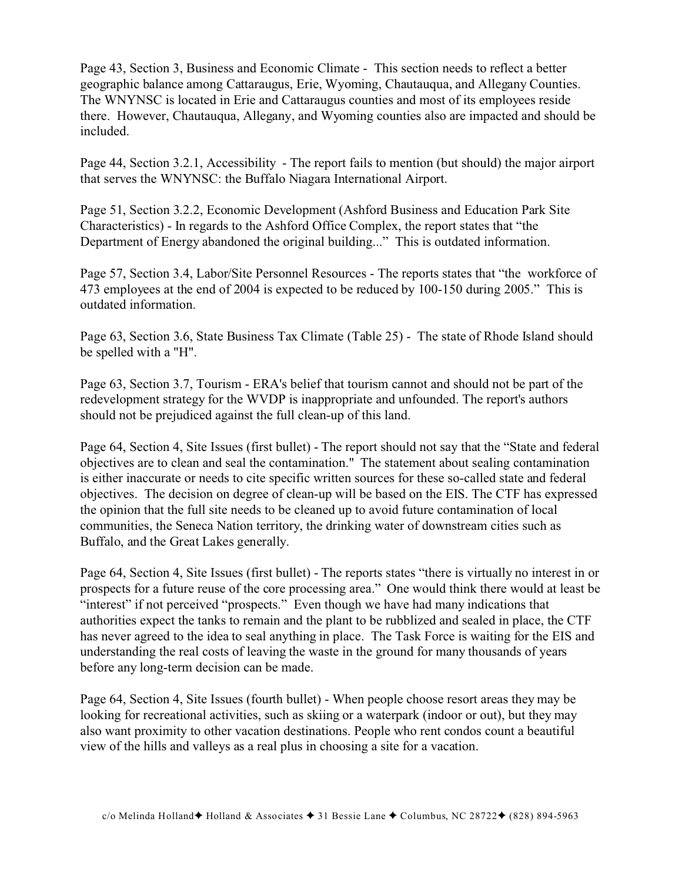Page 43, Section 3, Business and Economic Climate - This section needs to reflect a better geographic balance among Cattaraugus, Erie, Wyoming, Chautauqua, and Allegany Counties. The WNYNSC is located in Erie and Cattaraugus counties and most of its employees reside there. However, Chautauqua, Allegany, and Wyoming counties also are impacted and should be included.

Page 44, Section 3.2.1, Accessibility - The report fails to mention (but should) the major airport that serves the WNYNSC: the Buffalo Niagara International Airport.

Page 51, Section 3.2.2, Economic Development (Ashford Business and Education Park Site Characteristics) - In regards to the Ashford Office Complex, the report states that "the Department of Energy abandoned the original building..." This is outdated information.

Page 57, Section 3.4, Labor/Site Personnel Resources - The reports states that "the workforce of 473 employees at the end of 2004 is expected to be reduced by 100-150 during 2005." This is outdated information.

Page 63, Section 3.6, State Business Tax Climate (Table 25) - The state of Rhode Island should be spelled with a "H".

Page 63, Section 3.7, Tourism - ERA's belief that tourism cannot and should not be part of the redevelopment strategy for the WVDP is inappropriate and unfounded. The report's authors should not be prejudiced against the full clean-up of this land.

Page 64, Section 4, Site Issues (first bullet) - The report should not say that the "State and federal objectives are to clean and seal the contamination." The statement about sealing contamination is either inaccurate or needs to cite specific written sources for these so-called state and federal objectives. The decision on degree of clean-up will be based on the EIS. The CTF has expressed the opinion that the full site needs to be cleaned up to avoid future contamination of local communities, the Seneca Nation territory, the drinking water of downstream cities such as Buffalo, and the Great Lakes generally.

Page 64, Section 4, Site Issues (first bullet) - The reports states "there is virtually no interest in or prospects for a future reuse of the core processing area." One would think there would at least be "interest" if not perceived "prospects." Even though we have had many indications that authorities expect the tanks to remain and the plant to be rubblized and sealed in place, the CTF has never agreed to the idea to seal anything in place. The Task Force is waiting for the EIS and understanding the real costs of leaving the waste in the ground for many thousands of years before any long-term decision can be made.

Page 64, Section 4, Site Issues (fourth bullet) - When people choose resort areas they may be looking for recreational activities, such as skiing or a waterpark (indoor or out), but they may also want proximity to other vacation destinations. People who rent condos count a beautiful view of the hills and valleys as a real plus in choosing a site for a vacation.